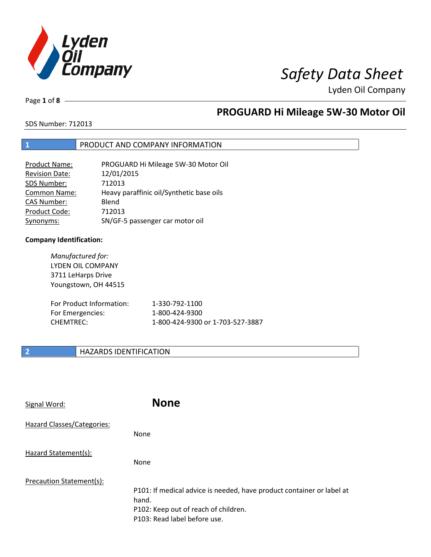

Page **1** of **8**

# **PROGUARD Hi Mileage 5W-30 Motor Oil**

SDS Number: 712013

## **1** PRODUCT AND COMPANY INFORMATION

| <b>Product Name:</b>  | PROGUARD Hi Mileage 5W-30 Motor Oil      |
|-----------------------|------------------------------------------|
| <b>Revision Date:</b> | 12/01/2015                               |
| SDS Number:           | 712013                                   |
| <b>Common Name:</b>   | Heavy paraffinic oil/Synthetic base oils |
| <b>CAS Number:</b>    | Blend                                    |
| Product Code:         | 712013                                   |
| Synonyms:             | SN/GF-5 passenger car motor oil          |

## **Company Identification:**

| Manufactured for:<br>LYDEN OIL COMPANY<br>3711 LeHarps Drive<br>Youngstown, OH 44515 |                                  |
|--------------------------------------------------------------------------------------|----------------------------------|
| For Product Information:                                                             | 1-330-792-1100                   |
| For Emergencies:                                                                     | 1-800-424-9300                   |
| <b>CHEMTREC:</b>                                                                     | 1-800-424-9300 or 1-703-527-3887 |

## **2 HAZARDS IDENTIFICATION**

| Signal Word:               | <b>None</b>                                                                                                                                            |
|----------------------------|--------------------------------------------------------------------------------------------------------------------------------------------------------|
| Hazard Classes/Categories: | None                                                                                                                                                   |
| Hazard Statement(s):       | None                                                                                                                                                   |
| Precaution Statement(s):   | P101: If medical advice is needed, have product container or label at<br>hand.<br>P102: Keep out of reach of children.<br>P103: Read label before use. |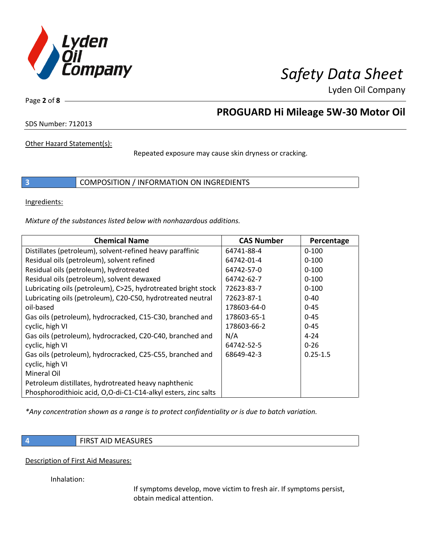

Page **2** of **8**

# **PROGUARD Hi Mileage 5W-30 Motor Oil**

SDS Number: 712013

Other Hazard Statement(s):

Repeated exposure may cause skin dryness or cracking.

**3** COMPOSITION / INFORMATION ON INGREDIENTS

Ingredients:

*Mixture of the substances listed below with nonhazardous additions.*

| <b>Chemical Name</b>                                           | <b>CAS Number</b> | Percentage   |
|----------------------------------------------------------------|-------------------|--------------|
| Distillates (petroleum), solvent-refined heavy paraffinic      | 64741-88-4        | $0 - 100$    |
| Residual oils (petroleum), solvent refined                     | 64742-01-4        | $0 - 100$    |
| Residual oils (petroleum), hydrotreated                        | 64742-57-0        | $0 - 100$    |
| Residual oils (petroleum), solvent dewaxed                     | 64742-62-7        | $0 - 100$    |
| Lubricating oils (petroleum), C>25, hydrotreated bright stock  | 72623-83-7        | $0 - 100$    |
| Lubricating oils (petroleum), C20-C50, hydrotreated neutral    | 72623-87-1        | $0 - 40$     |
| oil-based                                                      | 178603-64-0       | $0 - 45$     |
| Gas oils (petroleum), hydrocracked, C15-C30, branched and      | 178603-65-1       | $0 - 45$     |
| cyclic, high VI                                                | 178603-66-2       | $0 - 45$     |
| Gas oils (petroleum), hydrocracked, C20-C40, branched and      | N/A               | $4 - 24$     |
| cyclic, high VI                                                | 64742-52-5        | $0 - 26$     |
| Gas oils (petroleum), hydrocracked, C25-C55, branched and      | 68649-42-3        | $0.25 - 1.5$ |
| cyclic, high VI                                                |                   |              |
| Mineral Oil                                                    |                   |              |
| Petroleum distillates, hydrotreated heavy naphthenic           |                   |              |
| Phosphorodithioic acid, O,O-di-C1-C14-alkyl esters, zinc salts |                   |              |

*\*Any concentration shown as a range is to protect confidentiality or is due to batch variation.*

**4 FIRST AID MEASURES** 

Description of First Aid Measures:

Inhalation:

If symptoms develop, move victim to fresh air. If symptoms persist, obtain medical attention.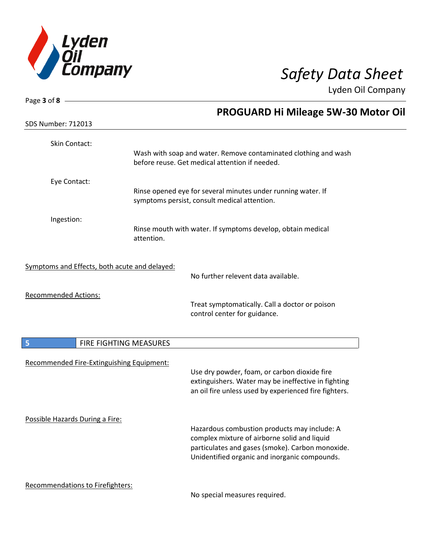

| Page 3 of 8 $-$                               |                        |                                                                                                                                                                                                   |
|-----------------------------------------------|------------------------|---------------------------------------------------------------------------------------------------------------------------------------------------------------------------------------------------|
|                                               |                        | <b>PROGUARD Hi Mileage 5W-30 Motor Oil</b>                                                                                                                                                        |
| <b>SDS Number: 712013</b>                     |                        |                                                                                                                                                                                                   |
| Skin Contact:                                 |                        |                                                                                                                                                                                                   |
|                                               |                        | Wash with soap and water. Remove contaminated clothing and wash<br>before reuse. Get medical attention if needed.                                                                                 |
| Eye Contact:                                  |                        |                                                                                                                                                                                                   |
|                                               |                        | Rinse opened eye for several minutes under running water. If<br>symptoms persist, consult medical attention.                                                                                      |
| Ingestion:                                    |                        |                                                                                                                                                                                                   |
|                                               | attention.             | Rinse mouth with water. If symptoms develop, obtain medical                                                                                                                                       |
| Symptoms and Effects, both acute and delayed: |                        |                                                                                                                                                                                                   |
|                                               |                        | No further relevent data available.                                                                                                                                                               |
| <b>Recommended Actions:</b>                   |                        |                                                                                                                                                                                                   |
|                                               |                        | Treat symptomatically. Call a doctor or poison<br>control center for guidance.                                                                                                                    |
| 5                                             | FIRE FIGHTING MEASURES |                                                                                                                                                                                                   |
| Recommended Fire-Extinguishing Equipment:     |                        |                                                                                                                                                                                                   |
|                                               |                        | Use dry powder, foam, or carbon dioxide fire<br>extinguishers. Water may be ineffective in fighting<br>an oil fire unless used by experienced fire fighters.                                      |
| Possible Hazards During a Fire:               |                        |                                                                                                                                                                                                   |
|                                               |                        | Hazardous combustion products may include: A<br>complex mixture of airborne solid and liquid<br>particulates and gases (smoke). Carbon monoxide.<br>Unidentified organic and inorganic compounds. |
| Recommendations to Firefighters:              |                        |                                                                                                                                                                                                   |
|                                               |                        | No special measures required                                                                                                                                                                      |

No special measures required.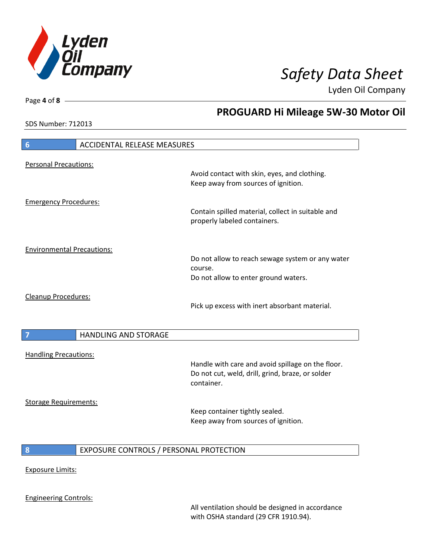

**PROGUARD Hi Mileage 5W-30 Motor Oil**

Lyden Oil Company

SDS Number: 712013

# **6** ACCIDENTAL RELEASE MEASURES Personal Precautions: Avoid contact with skin, eyes, and clothing. Keep away from sources of ignition. Emergency Procedures: Contain spilled material, collect in suitable and properly labeled containers. Environmental Precautions: Do not allow to reach sewage system or any water course. Do not allow to enter ground waters. Cleanup Procedures: Pick up excess with inert absorbant material. **7 HANDLING AND STORAGE** Handling Precautions: Handle with care and avoid spillage on the floor. Do not cut, weld, drill, grind, braze, or solder container. Storage Requirements: Keep container tightly sealed. Keep away from sources of ignition. **8** EXPOSURE CONTROLS / PERSONAL PROTECTION Exposure Limits: Engineering Controls:

All ventilation should be designed in accordance with OSHA standard (29 CFR 1910.94).

Page **4** of **8**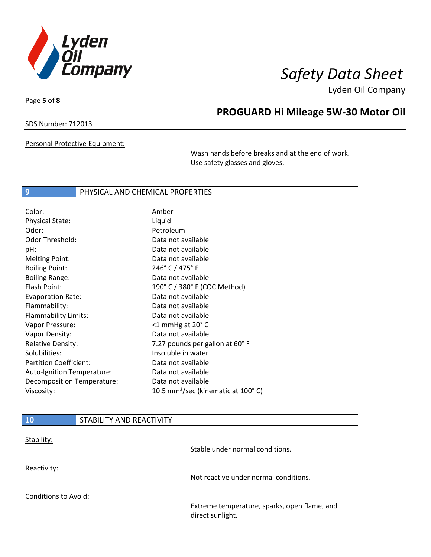

Page **5** of **8**

# **PROGUARD Hi Mileage 5W-30 Motor Oil**

SDS Number: 712013

Personal Protective Equipment:

Wash hands before breaks and at the end of work. Use safety glasses and gloves.

## **9** PHYSICAL AND CHEMICAL PROPERTIES

| Color:                        | Amber                                                     |
|-------------------------------|-----------------------------------------------------------|
| <b>Physical State:</b>        | Liquid                                                    |
| Odor:                         | Petroleum                                                 |
| <b>Odor Threshold:</b>        | Data not available                                        |
| pH:                           | Data not available                                        |
| <b>Melting Point:</b>         | Data not available                                        |
| <b>Boiling Point:</b>         | 246° C / 475° F                                           |
| <b>Boiling Range:</b>         | Data not available                                        |
| Flash Point:                  | 190° C / 380° F (COC Method)                              |
| <b>Evaporation Rate:</b>      | Data not available                                        |
| Flammability:                 | Data not available                                        |
| Flammability Limits:          | Data not available                                        |
| Vapor Pressure:               | $<$ 1 mmHg at 20 $^{\circ}$ C                             |
| Vapor Density:                | Data not available                                        |
| <b>Relative Density:</b>      | 7.27 pounds per gallon at 60°F                            |
| Solubilities:                 | Insoluble in water                                        |
| <b>Partition Coefficient:</b> | Data not available                                        |
| Auto-Ignition Temperature:    | Data not available                                        |
| Decomposition Temperature:    | Data not available                                        |
| Viscosity:                    | 10.5 mm <sup>2</sup> /sec (kinematic at 100 $^{\circ}$ C) |
|                               |                                                           |

| 10                          | STABILITY AND REACTIVITY |                                                                  |
|-----------------------------|--------------------------|------------------------------------------------------------------|
| Stability:                  |                          | Stable under normal conditions.                                  |
| Reactivity:                 |                          | Not reactive under normal conditions.                            |
| <b>Conditions to Avoid:</b> |                          | Extreme temperature, sparks, open flame, and<br>direct sunlight. |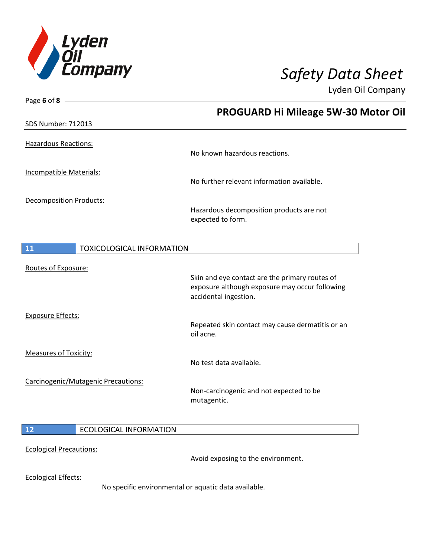

| Page 6 of 8 $-$                        |                                                                                                  |
|----------------------------------------|--------------------------------------------------------------------------------------------------|
|                                        | PROGUARD Hi Mileage 5W-30 Motor Oil                                                              |
| <b>SDS Number: 712013</b>              |                                                                                                  |
|                                        |                                                                                                  |
| <b>Hazardous Reactions:</b>            | No known hazardous reactions.                                                                    |
|                                        |                                                                                                  |
| <b>Incompatible Materials:</b>         | No further relevant information available.                                                       |
|                                        |                                                                                                  |
| <b>Decomposition Products:</b>         |                                                                                                  |
|                                        | Hazardous decomposition products are not<br>expected to form.                                    |
|                                        |                                                                                                  |
|                                        |                                                                                                  |
| 11<br><b>TOXICOLOGICAL INFORMATION</b> |                                                                                                  |
| Routes of Exposure:                    |                                                                                                  |
|                                        | Skin and eye contact are the primary routes of<br>exposure although exposure may occur following |
|                                        | accidental ingestion.                                                                            |
|                                        |                                                                                                  |
| <b>Exposure Effects:</b>               | Repeated skin contact may cause dermatitis or an                                                 |
|                                        | oil acne.                                                                                        |
|                                        |                                                                                                  |
| <b>Measures of Toxicity:</b>           | No test data available.                                                                          |
|                                        |                                                                                                  |
| Carcinogenic/Mutagenic Precautions:    | Non-carcinogenic and not expected to be                                                          |
|                                        | mutagentic.                                                                                      |
|                                        |                                                                                                  |
| 12<br><b>ECOLOGICAL INFORMATION</b>    |                                                                                                  |
|                                        |                                                                                                  |
| <b>Ecological Precautions:</b>         |                                                                                                  |
|                                        | Avoid exposing to the environment.                                                               |
| <b>Ecological Effects:</b>             |                                                                                                  |
|                                        | No specific environmental or aquatic data available.                                             |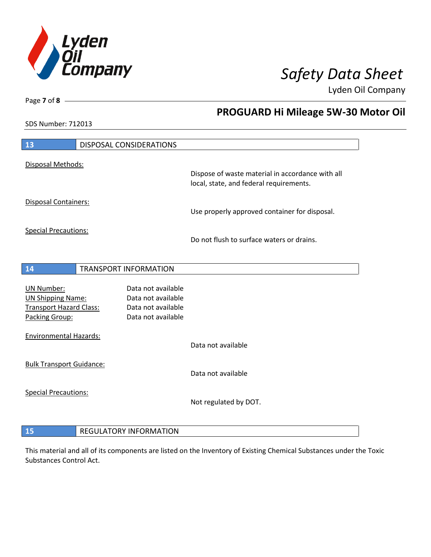

**PROGUARD Hi Mileage 5W-30 Motor Oil**

Lyden Oil Company

SDS Number: 712013

Page **7** of **8**

| 13                                                         | <b>DISPOSAL CONSIDERATIONS</b>           |                                                                                             |
|------------------------------------------------------------|------------------------------------------|---------------------------------------------------------------------------------------------|
| Disposal Methods:                                          |                                          |                                                                                             |
|                                                            |                                          | Dispose of waste material in accordance with all<br>local, state, and federal requirements. |
| Disposal Containers:                                       |                                          | Use properly approved container for disposal.                                               |
| <b>Special Precautions:</b>                                |                                          | Do not flush to surface waters or drains.                                                   |
| 14                                                         | TRANSPORT INFORMATION                    |                                                                                             |
|                                                            |                                          |                                                                                             |
| <b>UN Number:</b>                                          | Data not available<br>Data not available |                                                                                             |
| <b>UN Shipping Name:</b><br><b>Transport Hazard Class:</b> | Data not available                       |                                                                                             |
| Packing Group:                                             | Data not available                       |                                                                                             |
| <b>Environmental Hazards:</b>                              |                                          |                                                                                             |
|                                                            |                                          | Data not available                                                                          |
| <b>Bulk Transport Guidance:</b>                            |                                          |                                                                                             |
|                                                            |                                          | Data not available                                                                          |
| <b>Special Precautions:</b>                                |                                          |                                                                                             |
|                                                            |                                          | Not regulated by DOT.                                                                       |
|                                                            |                                          |                                                                                             |
| 15                                                         | <b>REGULATORY INFORMATION</b>            |                                                                                             |

This material and all of its components are listed on the Inventory of Existing Chemical Substances under the Toxic Substances Control Act.